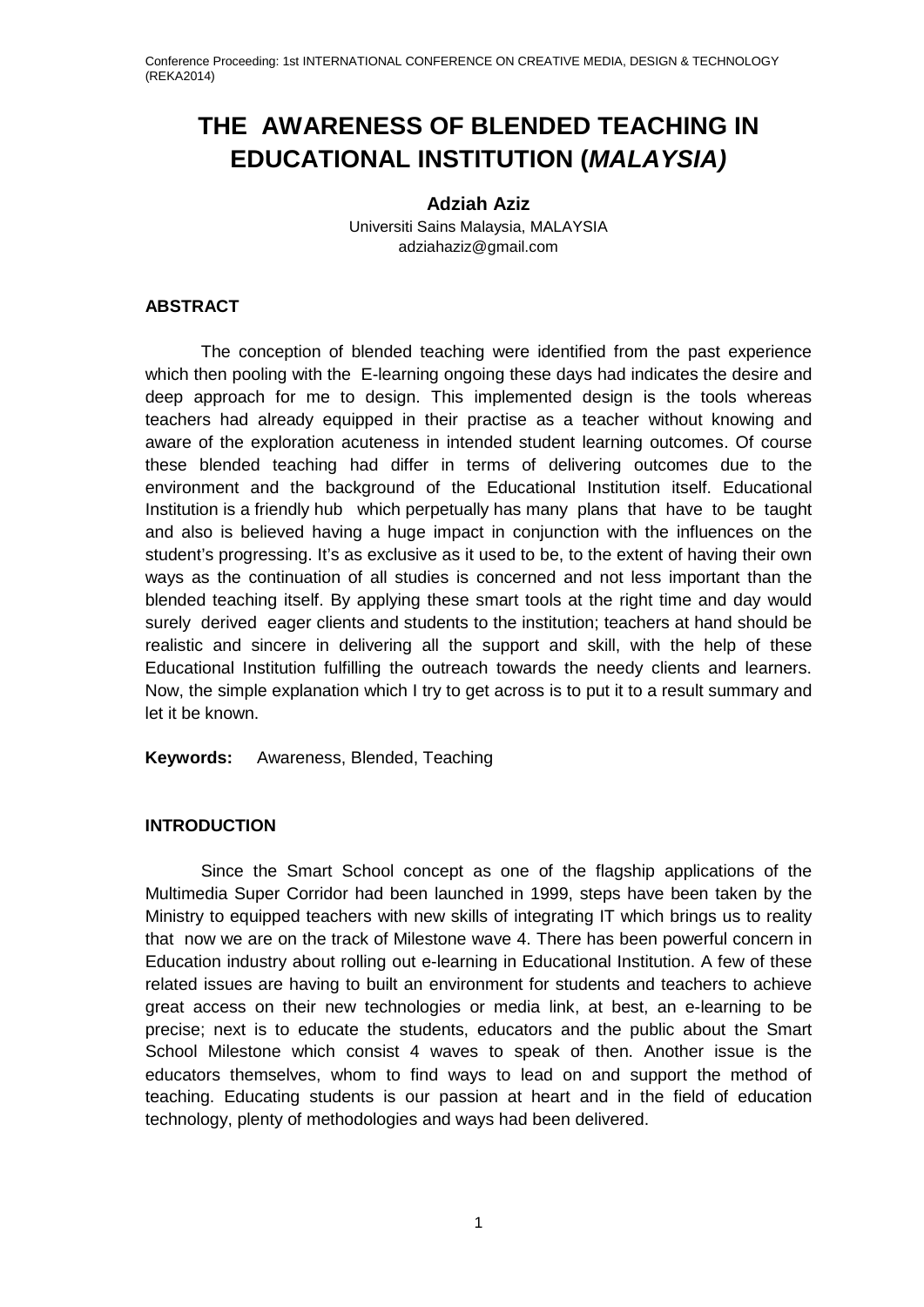## **THE AWARENESS OF BLENDED TEACHING IN EDUCATIONAL INSTITUTION (***MALAYSIA)*

## **Adziah Aziz**

Universiti Sains Malaysia, MALAYSIA adziahaziz@gmail.com

## **ABSTRACT**

The conception of blended teaching were identified from the past experience which then pooling with the E-learning ongoing these days had indicates the desire and deep approach for me to design. This implemented design is the tools whereas teachers had already equipped in their practise as a teacher without knowing and aware of the exploration acuteness in intended student learning outcomes. Of course these blended teaching had differ in terms of delivering outcomes due to the environment and the background of the Educational Institution itself. Educational Institution is a friendly hub which perpetually has many plans that have to be taught and also is believed having a huge impact in conjunction with the influences on the student's progressing. It's as exclusive as it used to be, to the extent of having their own ways as the continuation of all studies is concerned and not less important than the blended teaching itself. By applying these smart tools at the right time and day would surely derived eager clients and students to the institution; teachers at hand should be realistic and sincere in delivering all the support and skill, with the help of these Educational Institution fulfilling the outreach towards the needy clients and learners. Now, the simple explanation which I try to get across is to put it to a result summary and let it be known.

**Keywords:** Awareness, Blended, Teaching

## **INTRODUCTION**

Since the Smart School concept as one of the flagship applications of the Multimedia Super Corridor had been launched in 1999, steps have been taken by the Ministry to equipped teachers with new skills of integrating IT which brings us to reality that now we are on the track of Milestone wave 4. There has been powerful concern in Education industry about rolling out e-learning in Educational Institution. A few of these related issues are having to built an environment for students and teachers to achieve great access on their new technologies or media link, at best, an e-learning to be precise; next is to educate the students, educators and the public about the Smart School Milestone which consist 4 waves to speak of then. Another issue is the educators themselves, whom to find ways to lead on and support the method of teaching. Educating students is our passion at heart and in the field of education technology, plenty of methodologies and ways had been delivered.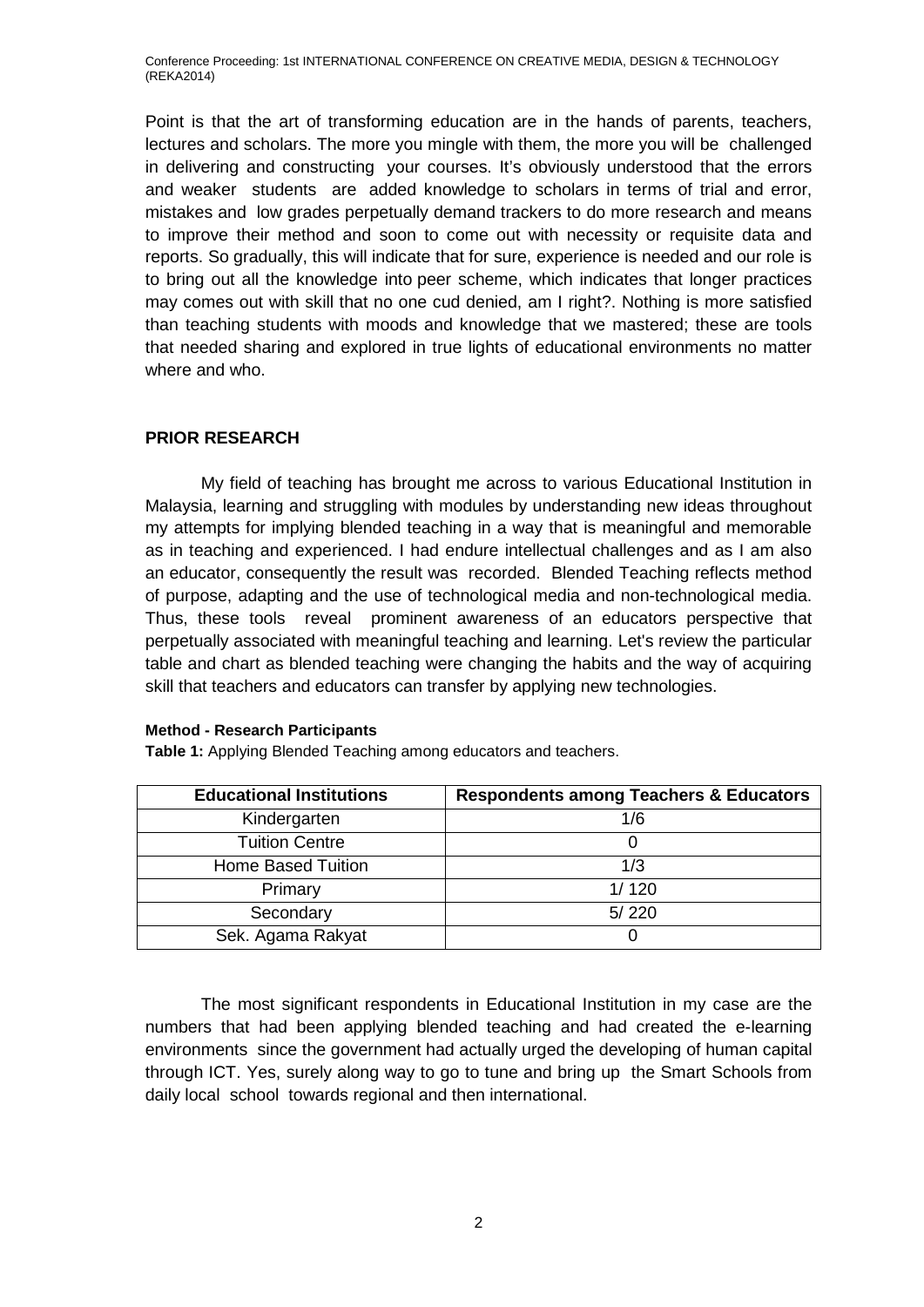Point is that the art of transforming education are in the hands of parents, teachers, lectures and scholars. The more you mingle with them, the more you will be challenged in delivering and constructing your courses. It's obviously understood that the errors and weaker students are added knowledge to scholars in terms of trial and error, mistakes and low grades perpetually demand trackers to do more research and means to improve their method and soon to come out with necessity or requisite data and reports. So gradually, this will indicate that for sure, experience is needed and our role is to bring out all the knowledge into peer scheme, which indicates that longer practices may comes out with skill that no one cud denied, am I right?. Nothing is more satisfied than teaching students with moods and knowledge that we mastered; these are tools that needed sharing and explored in true lights of educational environments no matter where and who.

## **PRIOR RESEARCH**

My field of teaching has brought me across to various Educational Institution in Malaysia, learning and struggling with modules by understanding new ideas throughout my attempts for implying blended teaching in a way that is meaningful and memorable as in teaching and experienced. I had endure intellectual challenges and as I am also an educator, consequently the result was recorded. Blended Teaching reflects method of purpose, adapting and the use of technological media and non-technological media. Thus, these tools reveal prominent awareness of an educators perspective that perpetually associated with meaningful teaching and learning. Let's review the particular table and chart as blended teaching were changing the habits and the way of acquiring skill that teachers and educators can transfer by applying new technologies.

### **Method - Research Participants**

| <b>Educational Institutions</b> | <b>Respondents among Teachers &amp; Educators</b> |
|---------------------------------|---------------------------------------------------|
| Kindergarten                    | 1/6                                               |
| <b>Tuition Centre</b>           |                                                   |
| <b>Home Based Tuition</b>       | 1/3                                               |
| Primary                         | 1/120                                             |
| Secondary                       | 5/220                                             |
| Sek. Agama Rakyat               |                                                   |

**Table 1:** Applying Blended Teaching among educators and teachers.

The most significant respondents in Educational Institution in my case are the numbers that had been applying blended teaching and had created the e-learning environments since the government had actually urged the developing of human capital through ICT. Yes, surely along way to go to tune and bring up the Smart Schools from daily local school towards regional and then international.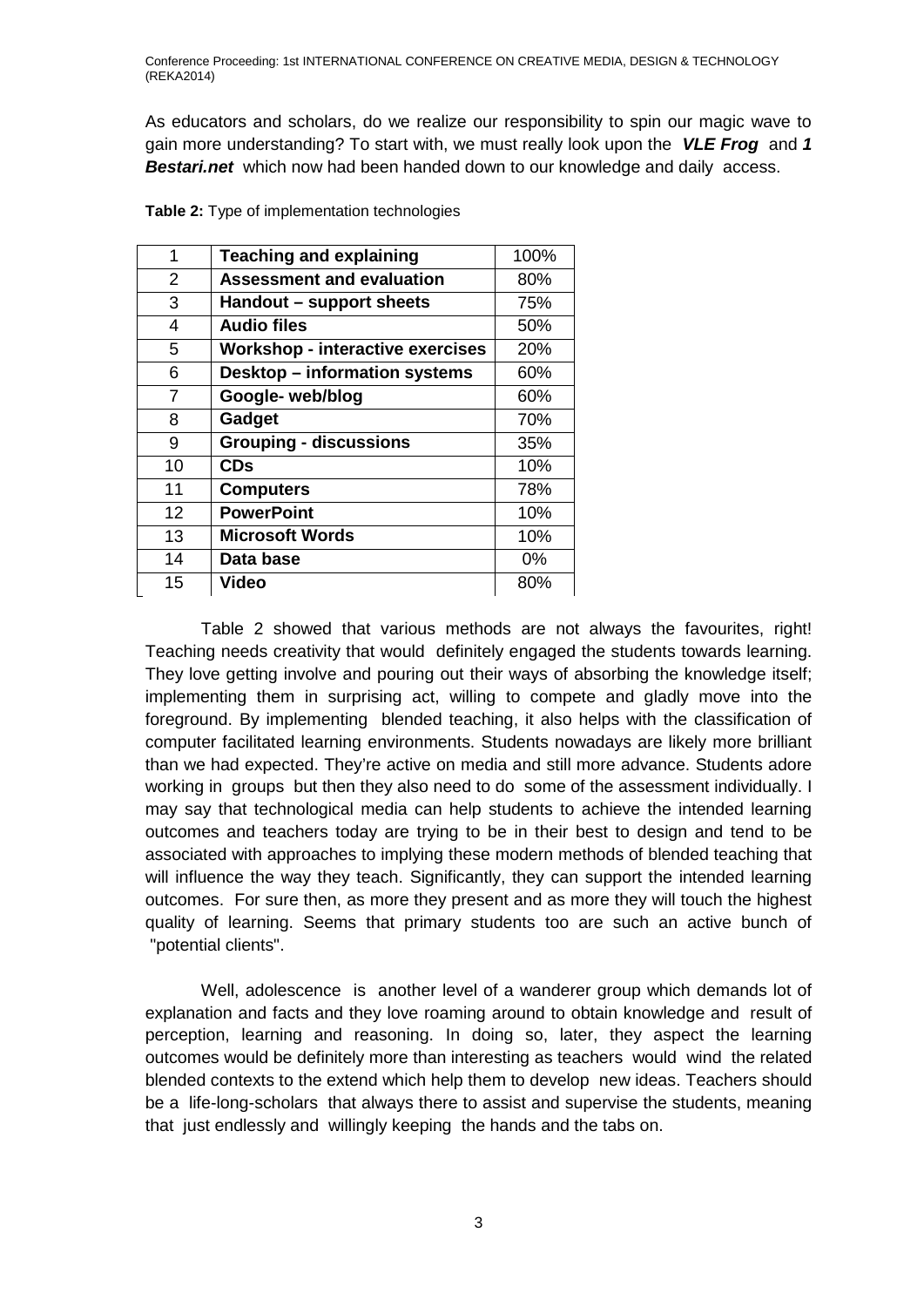As educators and scholars, do we realize our responsibility to spin our magic wave to gain more understanding? To start with, we must really look upon the *VLE Frog* and *1 Bestari.net* which now had been handed down to our knowledge and daily access.

| 1              | <b>Teaching and explaining</b>          | 100%  |
|----------------|-----------------------------------------|-------|
| $\overline{2}$ | <b>Assessment and evaluation</b>        | 80%   |
| 3              | Handout – support sheets                | 75%   |
| 4              | <b>Audio files</b>                      | 50%   |
| 5              | <b>Workshop - interactive exercises</b> | 20%   |
| 6              | <b>Desktop - information systems</b>    | 60%   |
| $\overline{7}$ | Google- web/blog                        | 60%   |
| 8              | Gadget                                  | 70%   |
| 9              | <b>Grouping - discussions</b>           | 35%   |
| 10             | <b>CDs</b>                              | 10%   |
| 11             | <b>Computers</b>                        | 78%   |
| 12             | <b>PowerPoint</b>                       | 10%   |
| 13             | <b>Microsoft Words</b>                  | 10%   |
| 14             | Data base                               | $0\%$ |
| 15             | Video                                   | 80%   |

**Table 2:** Type of implementation technologies

Table 2 showed that various methods are not always the favourites, right! Teaching needs creativity that would definitely engaged the students towards learning. They love getting involve and pouring out their ways of absorbing the knowledge itself; implementing them in surprising act, willing to compete and gladly move into the foreground. By implementing blended teaching, it also helps with the classification of computer facilitated learning environments. Students nowadays are likely more brilliant than we had expected. They're active on media and still more advance. Students adore working in groups but then they also need to do some of the assessment individually. I may say that technological media can help students to achieve the intended learning outcomes and teachers today are trying to be in their best to design and tend to be associated with approaches to implying these modern methods of blended teaching that will influence the way they teach. Significantly, they can support the intended learning outcomes. For sure then, as more they present and as more they will touch the highest quality of learning. Seems that primary students too are such an active bunch of "potential clients".

Well, adolescence is another level of a wanderer group which demands lot of explanation and facts and they love roaming around to obtain knowledge and result of perception, learning and reasoning. In doing so, later, they aspect the learning outcomes would be definitely more than interesting as teachers would wind the related blended contexts to the extend which help them to develop new ideas. Teachers should be a life-long-scholars that always there to assist and supervise the students, meaning that just endlessly and willingly keeping the hands and the tabs on.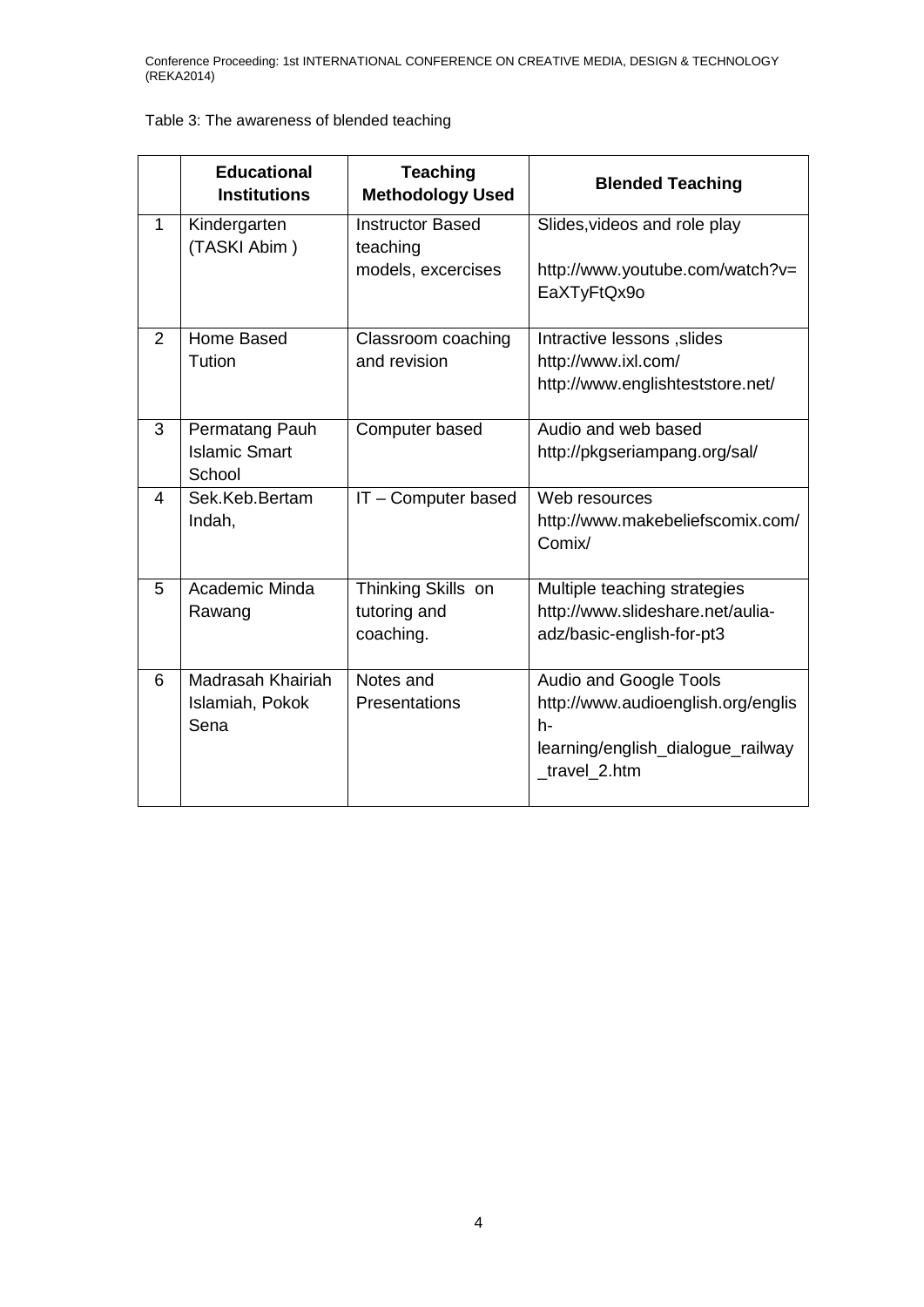## Table 3: The awareness of blended teaching

|   | <b>Educational</b><br><b>Institutions</b>        | <b>Teaching</b><br><b>Methodology Used</b>                | <b>Blended Teaching</b>                                                                                                  |
|---|--------------------------------------------------|-----------------------------------------------------------|--------------------------------------------------------------------------------------------------------------------------|
| 1 | Kindergarten<br>(TASKI Abim)                     | <b>Instructor Based</b><br>teaching<br>models, excercises | Slides, videos and role play<br>http://www.youtube.com/watch?v=<br>EaXTyFtQx9o                                           |
| 2 | Home Based<br>Tution                             | Classroom coaching<br>and revision                        | Intractive lessons, slides<br>http://www.ixl.com/<br>http://www.englishteststore.net/                                    |
| 3 | Permatang Pauh<br><b>Islamic Smart</b><br>School | Computer based                                            | Audio and web based<br>http://pkgseriampang.org/sal/                                                                     |
| 4 | Sek.Keb.Bertam<br>Indah,                         | IT - Computer based                                       | Web resources<br>http://www.makebeliefscomix.com/<br>Comix/                                                              |
| 5 | Academic Minda<br>Rawang                         | Thinking Skills on<br>tutoring and<br>coaching.           | Multiple teaching strategies<br>http://www.slideshare.net/aulia-<br>adz/basic-english-for-pt3                            |
| 6 | Madrasah Khairiah<br>Islamiah, Pokok<br>Sena     | Notes and<br><b>Presentations</b>                         | Audio and Google Tools<br>http://www.audioenglish.org/englis<br>h-<br>learning/english_dialogue_railway<br>_travel_2.htm |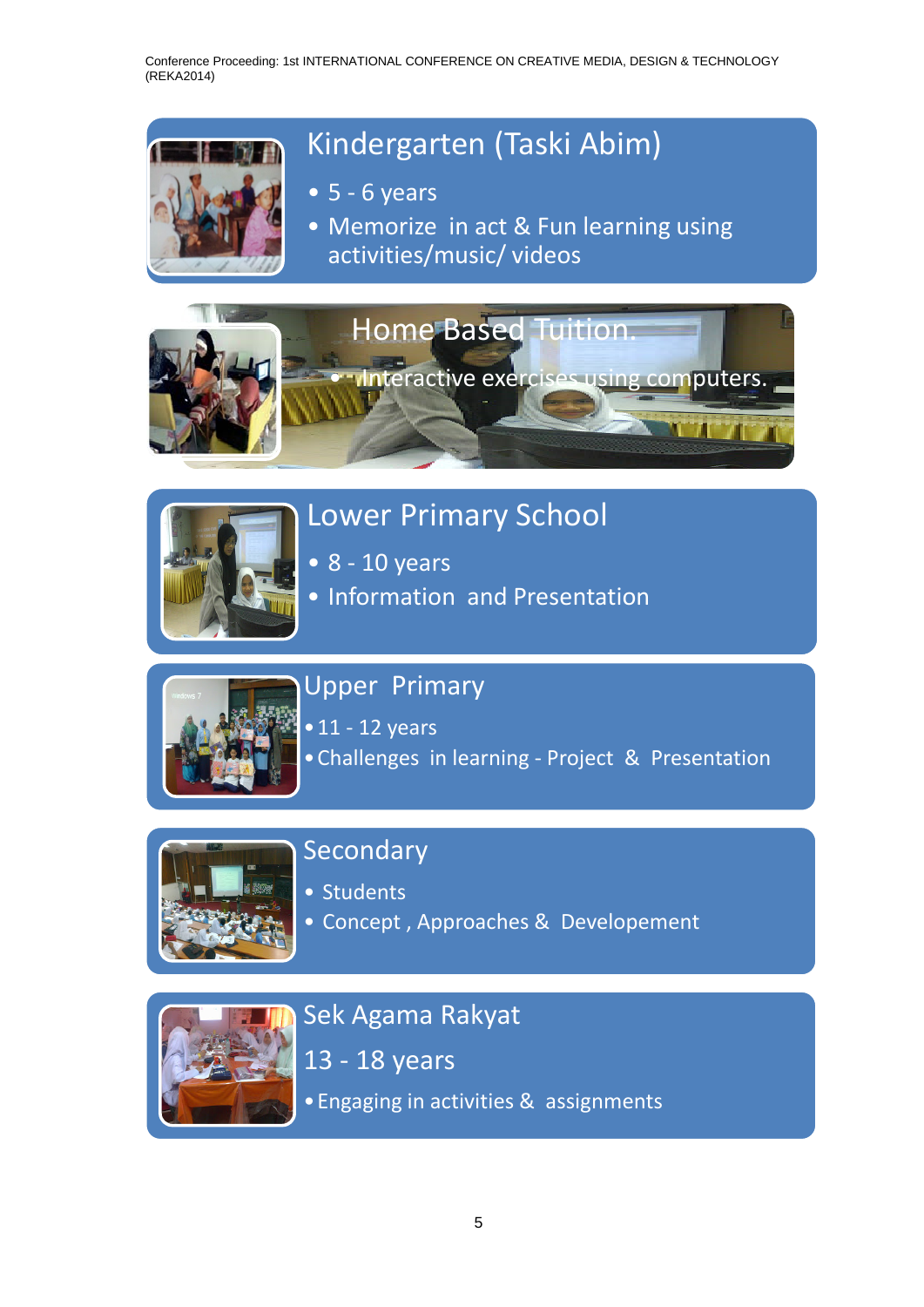# Kindergarten (Taski Abim)

- $5 6$  years
- Memorize in act & Fun learning using activities/music/ videos





# Lower Primary School

- 8 10 years
- Information and Presentation



## Upper Primary

• 11 - 12 years •Challenges in learning - Project & Presentation



# Secondary

- Students
- Concept , Approaches & Developement



# Sek Agama Rakyat

13 - 18 years

•Engaging in activities & assignments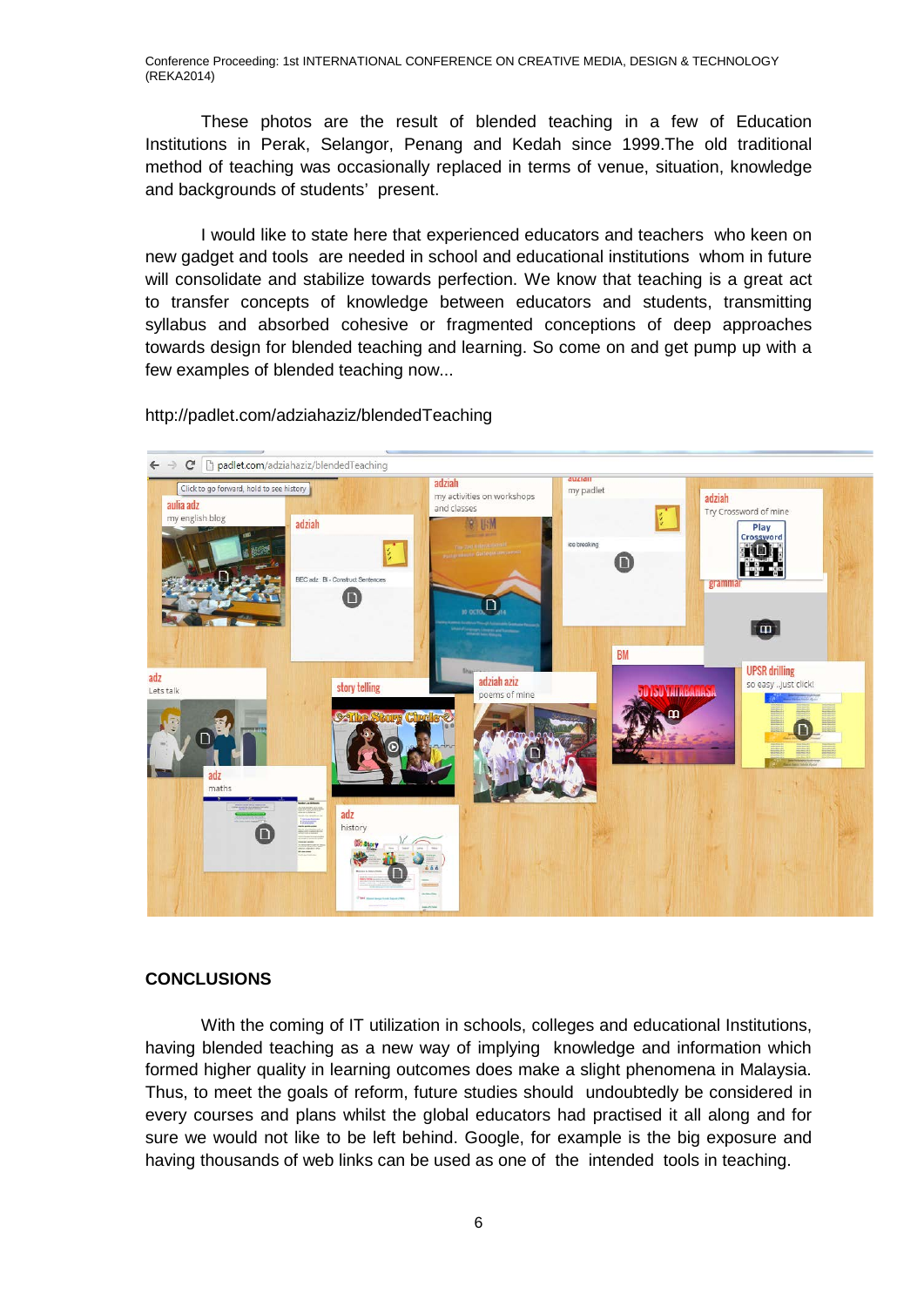These photos are the result of blended teaching in a few of Education Institutions in Perak, Selangor, Penang and Kedah since 1999.The old traditional method of teaching was occasionally replaced in terms of venue, situation, knowledge and backgrounds of students' present.

I would like to state here that experienced educators and teachers who keen on new gadget and tools are needed in school and educational institutions whom in future will consolidate and stabilize towards perfection. We know that teaching is a great act to transfer concepts of knowledge between educators and students, transmitting syllabus and absorbed cohesive or fragmented conceptions of deep approaches towards design for blended teaching and learning. So come on and get pump up with a few examples of blended teaching now...



http://padlet.com/adziahaziz/blendedTeaching

### **CONCLUSIONS**

With the coming of IT utilization in schools, colleges and educational Institutions, having blended teaching as a new way of implying knowledge and information which formed higher quality in learning outcomes does make a slight phenomena in Malaysia. Thus, to meet the goals of reform, future studies should undoubtedly be considered in every courses and plans whilst the global educators had practised it all along and for sure we would not like to be left behind. Google, for example is the big exposure and having thousands of web links can be used as one of the intended tools in teaching.